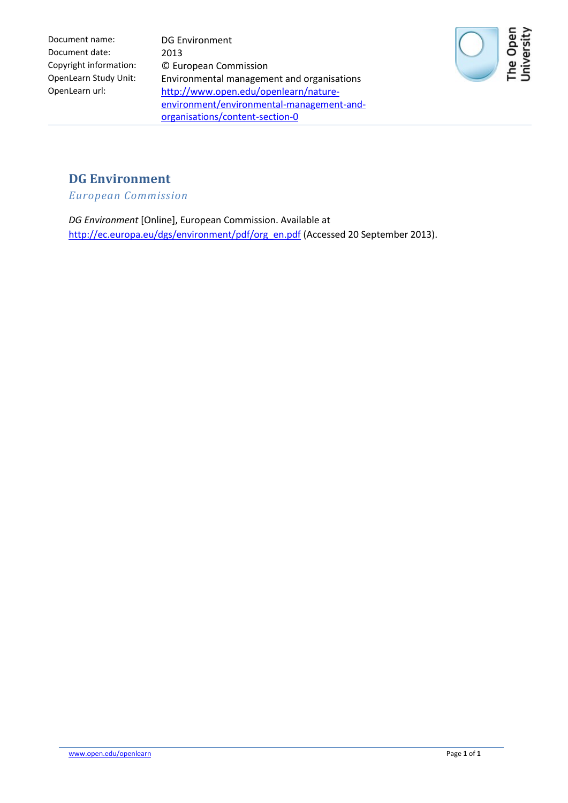Document name: DG Environment Document date: 2013

Copyright information: © European Commission OpenLearn Study Unit: Environmental management and organisations OpenLearn url: http://www.open.edu/openlearn/natureenvironment/environmental-management-andorganisations/content-section-0



## **DG Environment**

*European Commission*

*DG Environment* [Online], European Commission. Available at [http://ec.europa.eu/dgs/environment/pdf/org\\_en.pdf](http://ec.europa.eu/dgs/environment/pdf/org_en.pdf) (Accessed 20 September 2013).